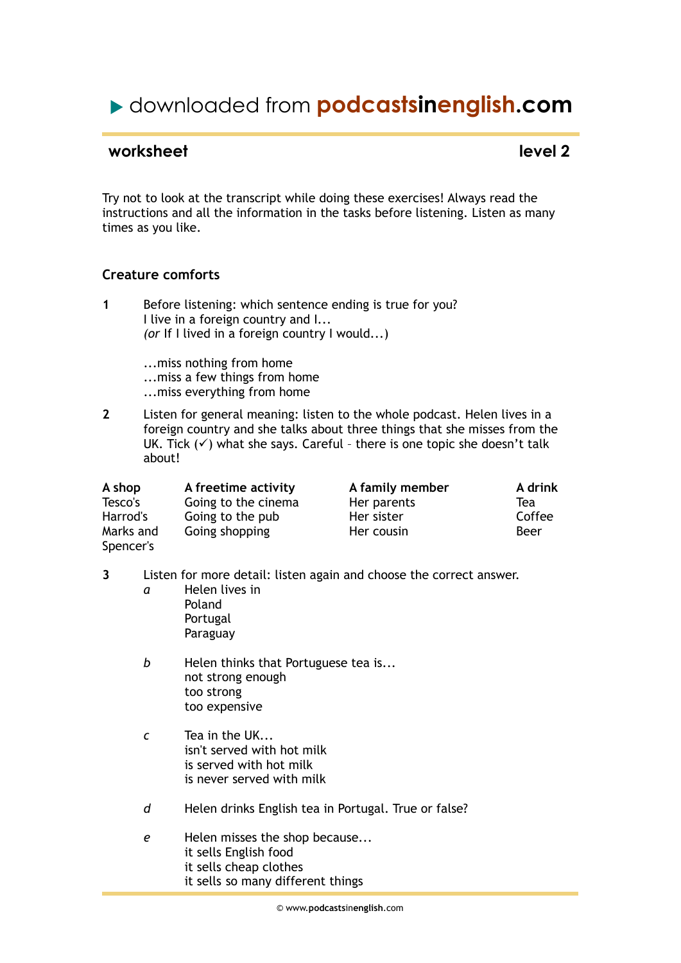# downloaded from **podcastsinenglish.com**

### **worksheet** level 2

Try not to look at the transcript while doing these exercises! Always read the instructions and all the information in the tasks before listening. Listen as many times as you like.

#### **Creature comforts**

- **1** Before listening: which sentence ending is true for you? I live in a foreign country and I... *(or* If I lived in a foreign country I would...)
	- ...miss nothing from home ...miss a few things from home ...miss everything from home
- **2** Listen for general meaning: listen to the whole podcast. Helen lives in a foreign country and she talks about three things that she misses from the UK. Tick  $(\checkmark)$  what she says. Careful - there is one topic she doesn't talk about!

| A shop    | A freetime activity | A family member | A drink |
|-----------|---------------------|-----------------|---------|
| Tesco's   | Going to the cinema | Her parents     | Tea     |
| Harrod's  | Going to the pub    | Her sister      | Coffee  |
| Marks and | Going shopping      | Her cousin      | Beer    |
| Spencer's |                     |                 |         |

- **3** Listen for more detail: listen again and choose the correct answer.
	- *a* Helen lives in Poland Portugal Paraguay
	- *b* Helen thinks that Portuguese tea is... not strong enough too strong too expensive
	- *c* Tea in the UK... isn't served with hot milk is served with hot milk is never served with milk
	- *d* Helen drinks English tea in Portugal. True or false?
	- *e* Helen misses the shop because... it sells English food it sells cheap clothes it sells so many different things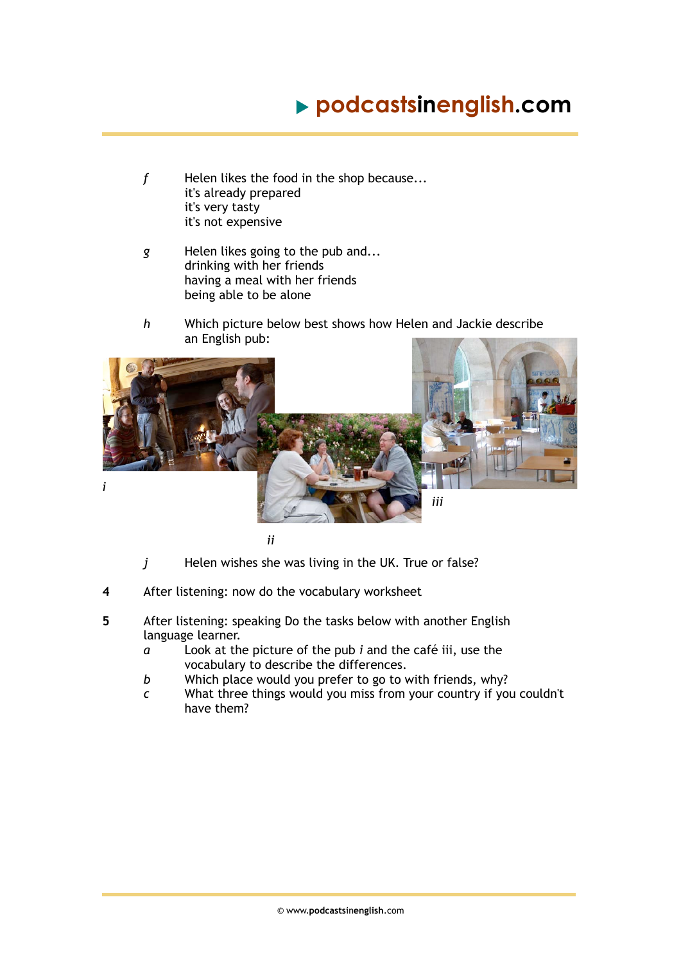# **podcastsinenglish.com**

- *f* Helen likes the food in the shop because... it's already prepared it's very tasty it's not expensive
- *g* Helen likes going to the pub and... drinking with her friends having a meal with her friends being able to be alone
- *h* Which picture below best shows how Helen and Jackie describe an English pub:



*ii*

- *j* Helen wishes she was living in the UK. True or false?
- **4** After listening: now do the vocabulary worksheet
- **5** After listening: speaking Do the tasks below with another English language learner.
	- *a* Look at the picture of the pub *i* and the café iii, use the vocabulary to describe the differences.
	- *b* Which place would you prefer to go to with friends, why?
	- *c* What three things would you miss from your country if you couldn't have them?